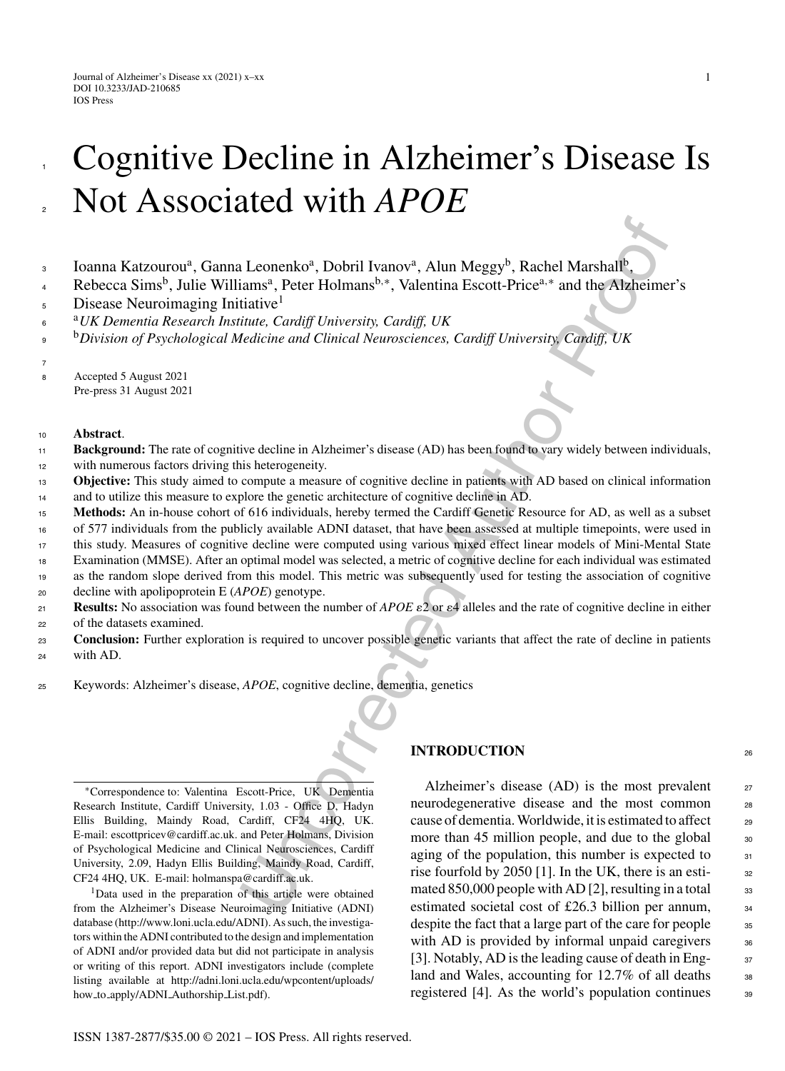# Cognitive Decline in Alzheimer's Disease Is Not Associated with *APOE*

- Ioanna Katzourou<sup>a</sup>, Ganna Leonenko<sup>a</sup>, Dobril Ivanov<sup>a</sup>, Alun Meggy<sup>b</sup>, Rachel Marshall<sup>b</sup>, 3
- Rebecca Sims<sup>b</sup>, Julie Williams<sup>a</sup>, Peter Holmans<sup>b,∗</sup>, Valentina Escott-Price<sup>a,∗</sup> and the Alzheimer's 4
- Disease Neuroimaging Initiative<sup>1</sup> 5
- <sup>a</sup> <sup>6</sup> *UK Dementia Research Institute, Cardiff University, Cardiff, UK*
- <sup>b</sup>*Division of Psychological Medicine and Clinical Neurosciences, Cardiff University, Cardiff, UK* 9
- 7

1

2

- <sup>8</sup> Accepted 5 August 2021
- Pre-press 31 August 2021

#### <sup>10</sup> **Abstract**.

- **Background:** The rate of cognitive decline in Alzheimer's disease (AD) has been found to vary widely between individuals, with numerous factors driving this heterogeneity. 11 12
- **Objective:** This study aimed to compute a measure of cognitive decline in patients with AD based on clinical information 13
- and to utilize this measure to explore the genetic architecture of cognitive decline in AD. 14
- **Methods:** An in-house cohort of 616 individuals, hereby termed the Cardiff Genetic Resource for AD, as well as a subset 15
- of 577 individuals from the publicly available ADNI dataset, that have been assessed at multiple timepoints, were used in 16
- this study. Measures of cognitive decline were computed using various mixed effect linear models of Mini-Mental State 17
- Examination (MMSE). After an optimal model was selected, a metric of cognitive decline for each individual was estimated 18
- as the random slope derived from this model. This metric was subsequently used for testing the association of cognitive 19
- decline with apolipoprotein E (*APOE*) genotype. 20
- **Results:** No association was found between the number of  $APOE \varepsilon^2$  or  $\varepsilon^4$  alleles and the rate of cognitive decline in either of the datasets examined.  $21$ 22
- **Conclusion:** Further exploration is required to uncover possible genetic variants that affect the rate of decline in patients with AD. 23 24
- <sup>25</sup> Keywords: Alzheimer's disease, *APOE*, cognitive decline, dementia, genetics

∗Correspondence to: Valentina Escott-Price, UK Dementia Research Institute, Cardiff University, 1.03 - Office D, Hadyn Ellis Building, Maindy Road, Cardiff, CF24 4HQ, UK. E-mail: [escottpricev@cardiff.ac.uk.](mailto:escottpricev@cardiff.ac.uk) and Peter Holmans, Division of Psychological Medicine and Clinical Neurosciences, Cardiff University, 2.09, Hadyn Ellis Building, Maindy Road, Cardiff, CF24 4HQ, UK. E-mail: [holmanspa@cardiff.ac.uk.](mailto:holmanspa@cardiff.ac.uk)

<sup>1</sup>Data used in the preparation of this article were obtained from the Alzheimer's Disease Neuroimaging Initiative (ADNI) database [\(http://www.loni.ucla.edu/ADNI](http://www.loni.ucla.edu/ADNI)). As such, the investigators within the ADNI contributed to the design and implementation of ADNI and/or provided data but did not participate in analysis or writing of this report. ADNI investigators include (complete listing available at [http://adni.loni.ucla.edu/wpcontent/uploads/](http://adni.loni.ucla.edu/wpcontent/uploads/how_to_apply/ADNI_Authorship_List.pdf) how to [apply/ADNI](http://adni.loni.ucla.edu/wpcontent/uploads/how_to_apply/ADNI_Authorship_List.pdf) Authorship List.pdf).

#### **INTRODUCTION** <sup>26</sup>

**Leonenko<sup>n</sup>**, Dobril Ivanov<sup>a</sup>, Alun Meggy<sup>b</sup>, Rachel Marshall<sup>b</sup>,<br>
iams<sup>a</sup>, Peter Holmans<sup>b, \*</sup>, Valentina Escott-Price<sup>a,\*</sup> and the Alzheime<br>
traitive<sup>1</sup><br>
titute, Cardiff University, Cardiff, UK<br>
titute, Cardiff Univer Alzheimer's disease  $(AD)$  is the most prevalent  $27$ neurodegenerative disease and the most common 28 cause of dementia. Worldwide, it is estimated to affect  $\qquad$  29 more than 45 million people, and due to the global  $\frac{30}{30}$ aging of the population, this number is expected to  $_{31}$ rise fourfold by 2050 [1]. In the UK, there is an esti-<br><sub>32</sub> mated 850,000 people with AD [2], resulting in a total  $\frac{33}{2}$ estimated societal cost of £26.3 billion per annum, <sup>34</sup> despite the fact that a large part of the care for people  $\frac{35}{25}$ with AD is provided by informal unpaid caregivers  $\frac{36}{5}$ [3]. Notably, AD is the leading cause of death in Eng-  $37\frac{1}{2}$ land and Wales, accounting for  $12.7\%$  of all deaths  $\frac{38}{5}$ registered [4]. As the world's population continues  $\frac{39}{90}$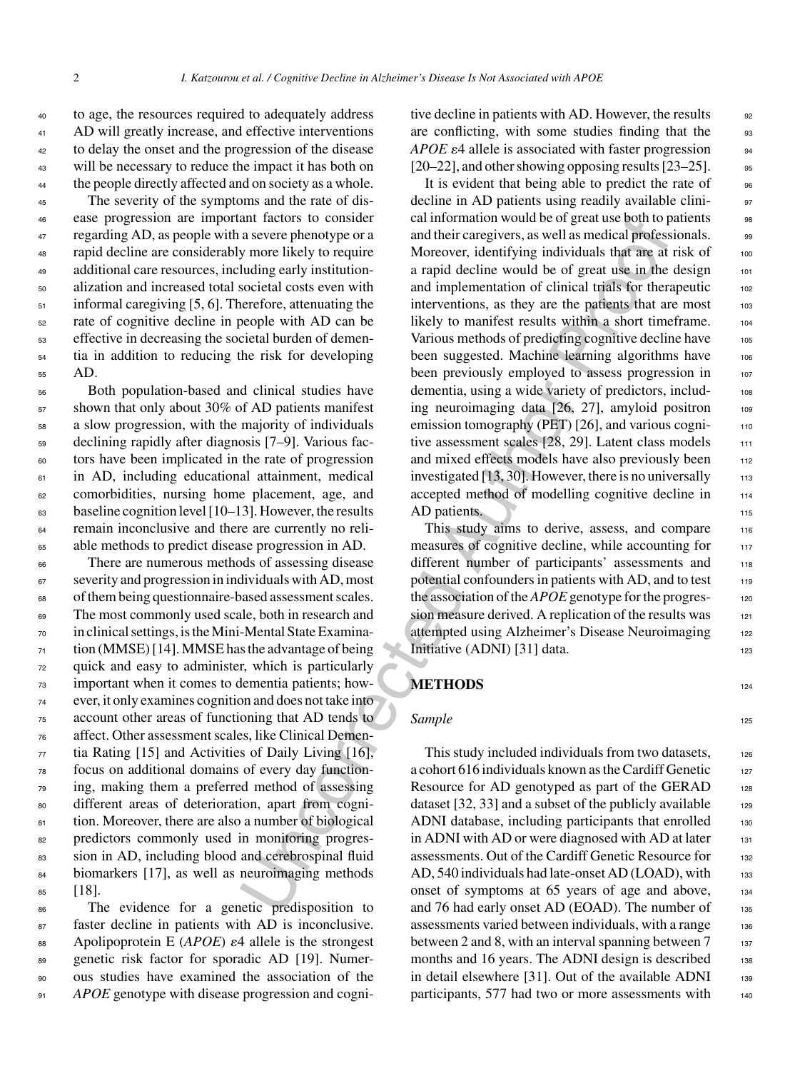to age, the resources required to adequately address AD will greatly increase, and effective interventions to delay the onset and the progression of the disease will be necessary to reduce the impact it has both on the people directly affected and on society as a whole.

 The severity of the symptoms and the rate of dis- ease progression are important factors to consider regarding AD, as people with a severe phenotype or a rapid decline are considerably more likely to require additional care resources, including early institution- alization and increased total societal costs even with 51 informal caregiving [5, 6]. Therefore, attenuating the rate of cognitive decline in people with AD can be effective in decreasing the societal burden of demen- tia in addition to reducing the risk for developing <sup>55</sup> AD.

 Both population-based and clinical studies have shown that only about 30% of AD patients manifest a slow progression, with the majority of individuals declining rapidly after diagnosis [7–9]. Various fac- tors have been implicated in the rate of progression <sup>61</sup> in AD, including educational attainment, medical comorbidities, nursing home placement, age, and baseline cognition level [10–13]. However, the results remain inconclusive and there are currently no reli-able methods to predict disease progression in AD.

 There are numerous methods of assessing disease severity and progression in individuals with AD, most of them being questionnaire-based assessment scales. The most commonly used scale, both in research and in clinical settings, is the Mini-Mental State Examina- tion (MMSE) [14]. MMSE has the advantage of being quick and easy to administer, which is particularly important when it comes to dementia patients; how- ever, it only examines cognition and does not take into account other areas of functioning that AD tends to affect. Other assessment scales, like Clinical Demen- tia Rating [15] and Activities of Daily Living [16], focus on additional domains of every day function- ing, making them a preferred method of assessing different areas of deterioration, apart from cogni-81 tion. Moreover, there are also a number of biological predictors commonly used in monitoring progres- sion in AD, including blood and cerebrospinal fluid 84 biomarkers [17], as well as neuroimaging methods <sup>85</sup> [18].

 The evidence for a genetic predisposition to 87 faster decline in patients with AD is inconclusive. 88 Apolipoprotein E (APOE)  $\varepsilon$ 4 allele is the strongest genetic risk factor for sporadic AD [19]. Numer- ous studies have examined the association of the *APOE* genotype with disease progression and cognitive decline in patients with AD. However, the results 92 are conflicting, with some studies finding that the 93 *APOE*  $\varepsilon$ 4 allele is associated with faster progression  $[20-22]$ , and other showing opposing results  $[23-25]$ . 95

and factors to consider<br>a severe phenotypo or a mathematic and their caregivers, as well as medical professions a severe phenotypo or a mathematic avore identifying individuals that are at the societization with an anguld It is evident that being able to predict the rate of  $\qquad$  96 decline in AD patients using readily available clinical information would be of great use both to patients <sup>98</sup> and their caregivers, as well as medical professionals.  $\qquad \circ$ Moreover, identifying individuals that are at risk of 100 a rapid decline would be of great use in the design 101 and implementation of clinical trials for therapeutic 102 interventions, as they are the patients that are most 103 likely to manifest results within a short timeframe. 104 Various methods of predicting cognitive decline have 105 been suggested. Machine learning algorithms have 106 been previously employed to assess progression in 107 dementia, using a wide variety of predictors, including neuroimaging data [26, 27], amyloid positron 109 emission tomography (PET) [26], and various cogni- $110$ tive assessment scales [28, 29]. Latent class models 111 and mixed effects models have also previously been 112 investigated  $[13, 30]$ . However, there is no universally  $113$ accepted method of modelling cognitive decline in 114 AD patients.

This study aims to derive, assess, and compare 116 measures of cognitive decline, while accounting for  $117$ different number of participants' assessments and 118 potential confounders in patients with AD, and to test 119 the association of the *APOE* genotype for the progression measure derived. A replication of the results was 121 attempted using Alzheimer's Disease Neuroimaging 122 Initiative  $(ADNI)$  [31] data. 123

### **METHODS** 124

#### **Sample** 125

This study included individuals from two datasets, 126 a cohort 616 individuals known as the Cardiff Genetic  $127$ Resource for AD genotyped as part of the GERAD  $128$ dataset [32, 33] and a subset of the publicly available  $_{129}$ ADNI database, including participants that enrolled 130 in ADNI with AD or were diagnosed with AD at later  $131$ assessments. Out of the Cardiff Genetic Resource for 132 AD, 540 individuals had late-onset AD (LOAD), with  $133$ onset of symptoms at 65 years of age and above, 134 and 76 had early onset AD (EOAD). The number of 135 assessments varied between individuals, with a range 136 between 2 and 8, with an interval spanning between  $7 \qquad \qquad \text{137}$ months and 16 years. The ADNI design is described 138 in detail elsewhere  $[31]$ . Out of the available ADNI  $\qquad$  139 participants, 577 had two or more assessments with 140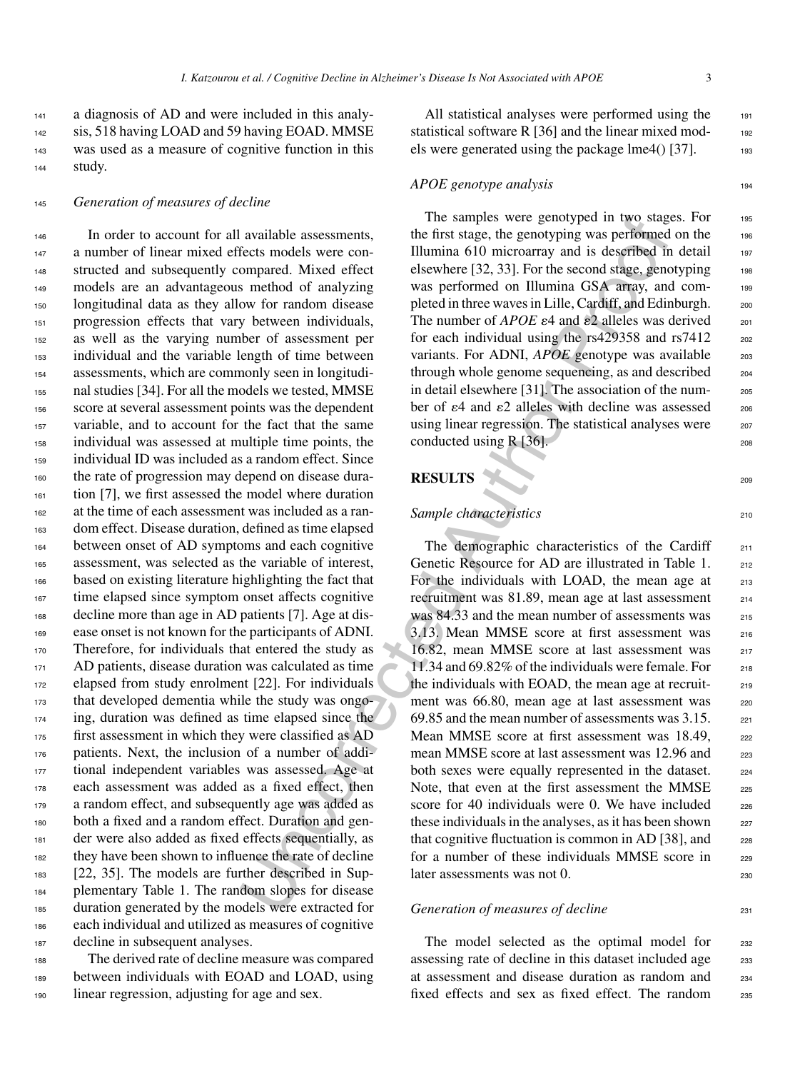<sup>141</sup> a diagnosis of AD and were included in this analy-142 sis, 518 having LOAD and 59 having EOAD. MMSE <sup>143</sup> was used as a measure of cognitive function in this <sup>144</sup> study.

<sup>145</sup> *Generation of measures of decline*

available assessments,<br>
the first stage, the genotypein was performed<br>
frect smokes were control illumina 610 micromery and is described in<br>
from the discussion of the control incomery and is described in<br>
to more and the In order to account for all available assessments, a number of linear mixed effects models were con-148 structed and subsequently compared. Mixed effect models are an advantageous method of analyzing longitudinal data as they allow for random disease progression effects that vary between individuals, as well as the varying number of assessment per individual and the variable length of time between assessments, which are commonly seen in longitudi- nal studies [34]. For all the models we tested, MMSE score at several assessment points was the dependent variable, and to account for the fact that the same individual was assessed at multiple time points, the individual ID was included as a random effect. Since the rate of progression may depend on disease dura- tion [7], we first assessed the model where duration at the time of each assessment was included as a ran- dom effect. Disease duration, defined as time elapsed between onset of AD symptoms and each cognitive assessment, was selected as the variable of interest, based on existing literature highlighting the fact that time elapsed since symptom onset affects cognitive decline more than age in AD patients [7]. Age at dis- ease onset is not known for the participants of ADNI. 170 Therefore, for individuals that entered the study as AD patients, disease duration was calculated as time elapsed from study enrolment [22]. For individuals that developed dementia while the study was ongo- ing, duration was defined as time elapsed since the first assessment in which they were classified as AD patients. Next, the inclusion of a number of addi- tional independent variables was assessed. Age at each assessment was added as a fixed effect, then a random effect, and subsequently age was added as both a fixed and a random effect. Duration and gen- der were also added as fixed effects sequentially, as they have been shown to influence the rate of decline [22, 35]. The models are further described in Sup- plementary Table 1. The random slopes for disease duration generated by the models were extracted for each individual and utilized as measures of cognitive decline in subsequent analyses.

<sup>188</sup> The derived rate of decline measure was compared <sup>189</sup> between individuals with EOAD and LOAD, using <sup>190</sup> linear regression, adjusting for age and sex.

All statistical analyses were performed using the 191 statistical software R [36] and the linear mixed models were generated using the package  $Im(4)$  [37].  $193$ 

#### *APOE genotype analysis* 194

The samples were genotyped in two stages. For 195 the first stage, the genotyping was performed on the  $_{196}$ Illumina  $610$  microarray and is described in detail  $197$ elsewhere [32, 33]. For the second stage, genotyping  $_{198}$ was performed on Illumina GSA array, and completed in three waves in Lille, Cardiff, and Edinburgh. 200 The number of *APOE*  $\varepsilon$ 4 and  $\varepsilon$ 2 alleles was derived  $\qquad$  201 for each individual using the  $rs429358$  and  $rs7412$  202 variants. For ADNI, *APOE* genotype was available 203 through whole genome sequencing, as and described <sup>204</sup> in detail elsewhere [31]. The association of the number of  $\varepsilon$ 4 and  $\varepsilon$ 2 alleles with decline was assessed  $206$ using linear regression. The statistical analyses were 207 conducted using  $R$  [36].

**RESULTS** 209

#### **Sample characteristics** 210

The demographic characteristics of the Cardiff 211 Genetic Resource for AD are illustrated in Table 1. 212 For the individuals with LOAD, the mean age at 213 recruitment was 81.89, mean age at last assessment 214 was 84.33 and the mean number of assessments was 215 3.13. Mean MMSE score at first assessment was <sup>216</sup> 16.82, mean MMSE score at last assessment was 217 11.34 and 69.82% of the individuals were female. For  $_{218}$ the individuals with EOAD, the mean age at recruit-<br>219 ment was  $66.80$ , mean age at last assessment was  $220$ 69.85 and the mean number of assessments was 3.15. <sup>221</sup> Mean MMSE score at first assessment was 18.49, 222 mean MMSE score at last assessment was 12.96 and 223 both sexes were equally represented in the dataset. 224 Note, that even at the first assessment the MMSE 225 score for 40 individuals were 0. We have included  $_{226}$ these individuals in the analyses, as it has been shown <sub>227</sub> that cognitive fluctuation is common in AD [38], and  $228$ for a number of these individuals MMSE score in  $229$ later assessments was not 0. 230

### *Generation of measures of decline* 231

The model selected as the optimal model for 232 assessing rate of decline in this dataset included age 233 at assessment and disease duration as random and <sup>234</sup> fixed effects and sex as fixed effect. The random 235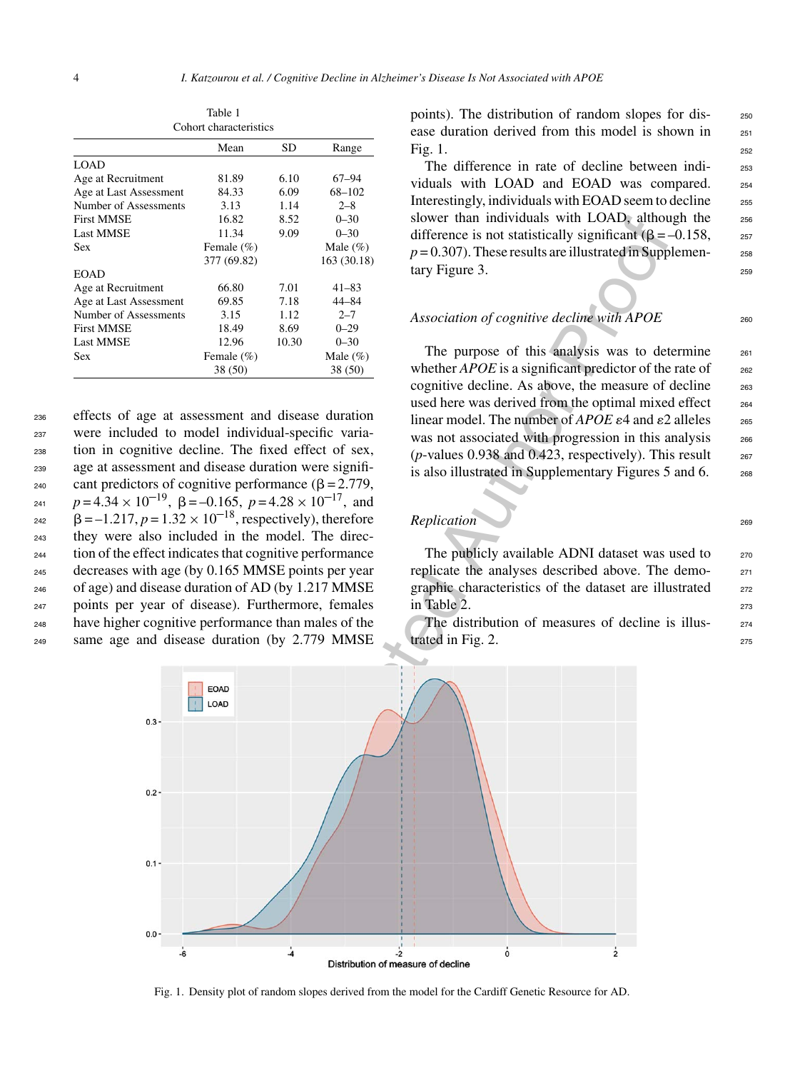| COHOL CHARGE ISLICS |       |              |  |  |  |
|---------------------|-------|--------------|--|--|--|
| Mean                | SD    | Range        |  |  |  |
|                     |       |              |  |  |  |
| 81.89               | 6.10  | $67 - 94$    |  |  |  |
| 84.33               | 6.09  | 68-102       |  |  |  |
| 3.13                | 1.14  | $2 - 8$      |  |  |  |
| 16.82               | 8.52  | $0 - 30$     |  |  |  |
| 11.34               | 9.09  | $0 - 30$     |  |  |  |
| Female $(\% )$      |       | Male $(\% )$ |  |  |  |
| 377 (69.82)         |       | 163 (30.18)  |  |  |  |
|                     |       |              |  |  |  |
| 66.80               | 7.01  | $41 - 83$    |  |  |  |
| 69.85               | 7.18  | 44-84        |  |  |  |
| 3.15                | 1.12  | $2 - 7$      |  |  |  |
| 18.49               | 8.69  | $0 - 29$     |  |  |  |
| 12.96               | 10.30 | $0 - 30$     |  |  |  |
| Female $(\% )$      |       | Male $(\%)$  |  |  |  |
| 38 (50)             |       | 38 (50)      |  |  |  |
|                     |       |              |  |  |  |

Table 1 Cohort characteristics

 effects of age at assessment and disease duration were included to model individual-specific varia- tion in cognitive decline. The fixed effect of sex, age at assessment and disease duration were significant predictors of cognitive performance ( $\beta$  = 2.779,  $p = 4.34 \times 10^{-19}$ ,  $\beta = -0.165$ ,  $p = 4.28 \times 10^{-17}$ , and  $= 242$   $\beta = -1.217, p = 1.32 \times 10^{-18}$ , respectively), therefore they were also included in the model. The direc- tion of the effect indicates that cognitive performance decreases with age (by 0.165 MMSE points per year of age) and disease duration of AD (by 1.217 MMSE points per year of disease). Furthermore, females have higher cognitive performance than males of the same age and disease duration (by 2.779 MMSE points). The distribution of random slopes for disease duration derived from this model is shown in <sub>251</sub> Fig. 1.  $252$ 

The difference in rate of decline between indi-<br>253 viduals with LOAD and EOAD was compared. 254 Interestingly, individuals with EOAD seem to decline <sub>255</sub> slower than individuals with LOAD, although the 256 difference is not statistically significant  $(\beta = -0.158,$  257  $p = 0.307$ ). These results are illustrated in Supplementary Figure 3. 259

#### Association of cognitive decline with APOE 260

The purpose of this analysis was to determine 261 whether  $APOE$  is a significant predictor of the rate of  $262$ cognitive decline. As above, the measure of decline  $263$ used here was derived from the optimal mixed effect  $_{264}$ linear model. The number of  $APOE \varepsilon_4$  and  $\varepsilon_2$  alleles  $\qquad$  265 was not associated with progression in this analysis 266 ( $p$ -values 0.938 and 0.423, respectively). This result  $_{267}$ is also illustrated in Supplementary Figures 5 and 6.  $\qquad$  268

#### *Replication* 269

The publicly available ADNI dataset was used to  $270$ replicate the analyses described above. The demo- <sup>271</sup> graphic characteristics of the dataset are illustrated 272 in Table 2.  $273$ 

The distribution of measures of decline is illus-<br>274 trated in Fig. 2.  $275$ 



Fig. 1. Density plot of random slopes derived from the model for the Cardiff Genetic Resource for AD.

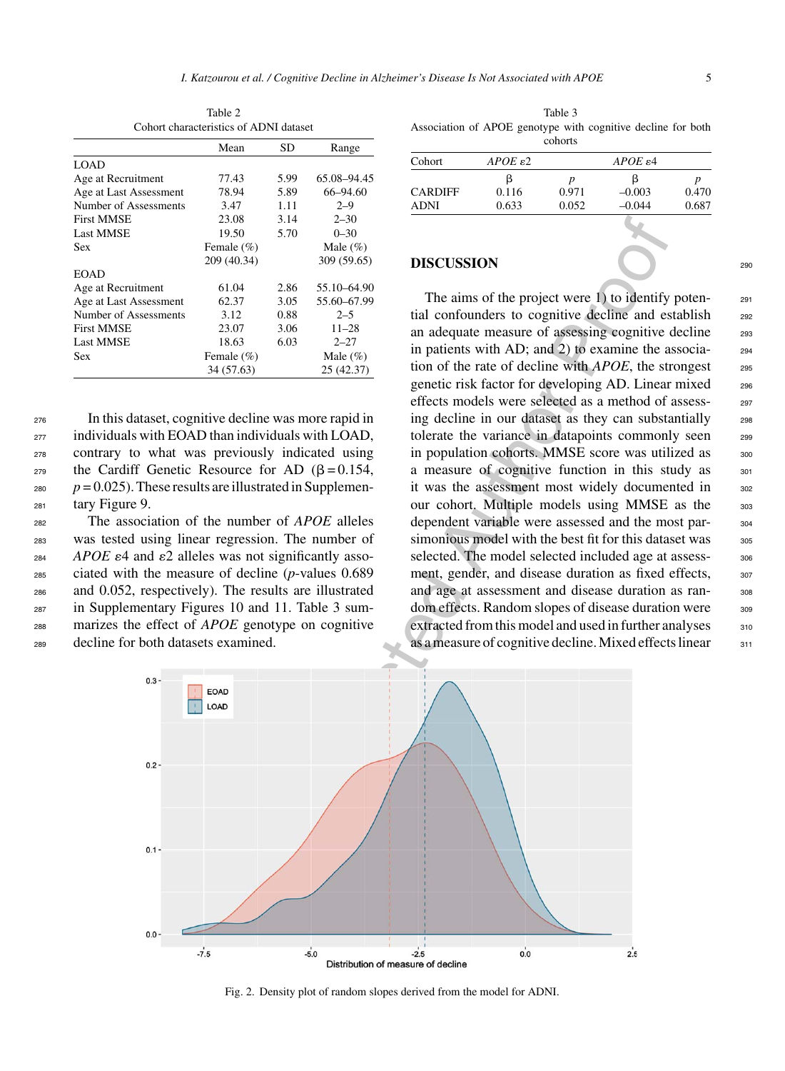| Conort characteristics of ADNI dataset |                |      |              |  |  |
|----------------------------------------|----------------|------|--------------|--|--|
|                                        | Mean           | SD   | Range        |  |  |
| <b>LOAD</b>                            |                |      |              |  |  |
| Age at Recruitment                     | 77.43          | 5.99 | 65.08-94.45  |  |  |
| Age at Last Assessment                 | 78.94          | 5.89 | 66-94.60     |  |  |
| Number of Assessments                  | 3.47           | 1.11 | $2 - 9$      |  |  |
| <b>First MMSE</b>                      | 23.08          | 3.14 | $2 - 30$     |  |  |
| <b>Last MMSE</b>                       | 19.50          | 5.70 | $0 - 30$     |  |  |
| <b>Sex</b>                             | Female (%)     |      | Male $(\% )$ |  |  |
|                                        | 209 (40.34)    |      | 309 (59.65)  |  |  |
| <b>EOAD</b>                            |                |      |              |  |  |
| Age at Recruitment                     | 61.04          | 2.86 | 55.10-64.90  |  |  |
| Age at Last Assessment                 | 62.37          | 3.05 | 55.60-67.99  |  |  |
| Number of Assessments                  | 3.12           | 0.88 | $2 - 5$      |  |  |
| <b>First MMSE</b>                      | 23.07          | 3.06 | $11 - 28$    |  |  |
| <b>Last MMSE</b>                       | 18.63          | 6.03 | $2 - 27$     |  |  |
| Sex                                    | Female $(\% )$ |      | Male $(\% )$ |  |  |
|                                        | 34 (57.63)     |      | 25 (42.37)   |  |  |

Table 2 Cohort characteristics of ADNI dataset

| 27 |
|----|
| 27 |
| 28 |
| 28 |
| 28 |
| 28 |
| 28 |
| 28 |

<sup>276</sup> In this dataset, cognitive decline was more rapid in  $_{277}$  individuals with EOAD than individuals with LOAD. contrary to what was previously indicated using the Cardiff Genetic Resource for AD  $(\beta = 0.154,$  $p = 0.025$ ). These results are illustrated in Supplementary Figure 9.

 The association of the number of *APOE* alleles <sup>33</sup> was tested using linear regression. The number of  $APOE \epsilon 4$  and  $\epsilon 2$  alleles was not significantly asso- ciated with the measure of decline (*p*-values 0.689 and 0.052, respectively). The results are illustrated in Supplementary Figures 10 and 11. Table 3 sum- marizes the effect of *APOE* genotype on cognitive decline for both datasets examined.

Table 3 Association of APOE genotype with cognitive decline for both cohorts

| Cohort         | $APOE \epsilon2$ | $APOE \epsilon 4$ |          |       |
|----------------|------------------|-------------------|----------|-------|
|                |                  | n                 | ß        |       |
| <b>CARDIFF</b> | 0.116            | 0.971             | $-0.003$ | 0.470 |
| <b>ADNI</b>    | 0.633            | 0.052             | $-0.044$ | 0.687 |

#### **DISCUSSION** 290

The aims of the project were 1) to identify poten- $_{291}$ tial confounders to cognitive decline and establish 292 an adequate measure of assessing cognitive decline 293 in patients with AD; and 2) to examine the associa- <sup>294</sup> tion of the rate of decline with *APOE*, the strongest 295 genetic risk factor for developing AD. Linear mixed <sup>296</sup> effects models were selected as a method of assess-<br>297 ing decline in our dataset as they can substantially 298 tolerate the variance in datapoints commonly seen 299 in population cohorts. MMSE score was utilized as 300 a measure of cognitive function in this study as  $301$ it was the assessment most widely documented in 302 our cohort. Multiple models using MMSE as the 303 dependent variable were assessed and the most par-<br><sub>304</sub> simonious model with the best fit for this dataset was <sup>305</sup> selected. The model selected included age at assess-<br>306 ment, gender, and disease duration as fixed effects,  $307$ and age at assessment and disease duration as ran-<br>some dom effects. Random slopes of disease duration were 309 extracted from this model and used in further analyses  $310$ as a measure of cognitive decline. Mixed effects linear  $311$ 



Fig. 2. Density plot of random slopes derived from the model for ADNI.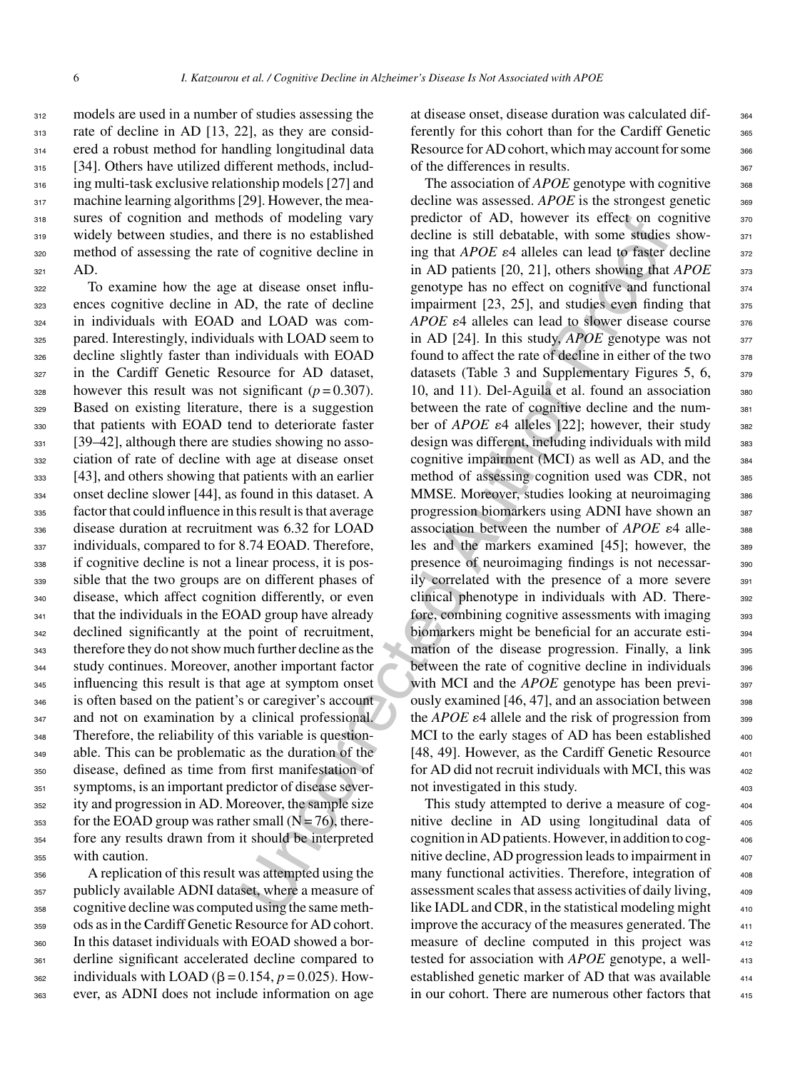models are used in a number of studies assessing the rate of decline in AD [13, 22], as they are consid- ered a robust method for handling longitudinal data [34]. Others have utilized different methods, includ- ing multi-task exclusive relationship models [27] and 317 machine learning algorithms [29]. However, the mea- sures of cognition and methods of modeling vary widely between studies, and there is no established method of assessing the rate of cognitive decline in <sup>321</sup> AD.

 To examine how the age at disease onset influ- ences cognitive decline in AD, the rate of decline in individuals with EOAD and LOAD was com-325 pared. Interestingly, individuals with LOAD seem to decline slightly faster than individuals with EOAD in the Cardiff Genetic Resource for AD dataset, 328 however this result was not significant  $(p=0.307)$ . Based on existing literature, there is a suggestion that patients with EOAD tend to deteriorate faster [39–42], although there are studies showing no asso- ciation of rate of decline with age at disease onset [43], and others showing that patients with an earlier onset decline slower [44], as found in this dataset. A factor that could influence in this result is that average disease duration at recruitment was 6.32 for LOAD 337 individuals, compared to for 8.74 EOAD. Therefore, if cognitive decline is not a linear process, it is pos- sible that the two groups are on different phases of disease, which affect cognition differently, or even 341 that the individuals in the EOAD group have already 342 declined significantly at the point of recruitment, therefore they do not show much further decline as the study continues. Moreover, another important factor 345 influencing this result is that age at symptom onset is often based on the patient's or caregiver's account and not on examination by a clinical professional. 348 Therefore, the reliability of this variable is question- able. This can be problematic as the duration of the disease, defined as time from first manifestation of symptoms, is an important predictor of disease sever- ity and progression in AD. Moreover, the sample size for the EOAD group was rather small (N = 76), there- fore any results drawn from it should be interpreted with caution.

 A replication of this result was attempted using the publicly available ADNI dataset, where a measure of cognitive decline was computed using the same meth- ods as in the Cardiff Genetic Resource for AD cohort. In this dataset individuals with EOAD showed a bor- derline significant accelerated decline compared to  $_{362}$  individuals with LOAD ( $\beta$  = 0.154,  $p$  = 0.025). How-ever, as ADNI does not include information on age

at disease onset, disease duration was calculated dif- <sup>364</sup> ferently for this cohort than for the Cardiff Genetic 365 Resource for AD cohort, which may account for some 366 of the differences in results. 367

otices the reaction of the matrix and the proof of the still debate and to find the and to fract on control and the still debate and the still debate and the still debate and the state of equitive decline in in AD patient The association of *APOE* genotype with cognitive <sub>368</sub> decline was assessed. *APOE* is the strongest genetic <sup>369</sup> predictor of AD, however its effect on cognitive 370 decline is still debatable, with some studies show-<br>371 ing that *APOE*  $\varepsilon$ 4 alleles can lead to faster decline 372 in AD patients [20, 21], others showing that *APOE* 373 genotype has no effect on cognitive and functional 374 impairment  $[23, 25]$ , and studies even finding that  $375$ *APOE*  $\varepsilon$ 4 alleles can lead to slower disease course  $376$ in AD  $[24]$ . In this study, *APOE* genotype was not  $377$ found to affect the rate of decline in either of the two  $378$ datasets (Table 3 and Supplementary Figures 5, 6,  $\frac{378}{27}$ 10, and 11). Del-Aguila et al. found an association 380 between the rate of cognitive decline and the num-<br>381 ber of *APOE*  $\varepsilon$ 4 alleles [22]; however, their study 382 design was different, including individuals with mild 383 cognitive impairment (MCI) as well as AD, and the  $384$ method of assessing cognition used was CDR, not 385 MMSE. Moreover, studies looking at neuroimaging 386 progression biomarkers using ADNI have shown an <sup>387</sup> association between the number of *APOE*  $\varepsilon$ 4 alle-<br><sub>388</sub> les and the markers examined [45]; however, the 389 presence of neuroimaging findings is not necessarily correlated with the presence of a more severe 391 clinical phenotype in individuals with AD. There- <sup>392</sup> fore, combining cognitive assessments with imaging 393 biomarkers might be beneficial for an accurate esti- <sup>394</sup> mation of the disease progression. Finally, a link 395 between the rate of cognitive decline in individuals  $396$ with MCI and the *APOE* genotype has been previ-<br>397 ously examined  $[46, 47]$ , and an association between  $398$ the  $APOE \varepsilon 4$  allele and the risk of progression from  $398$ MCI to the early stages of AD has been established  $400$ [48, 49]. However, as the Cardiff Genetic Resource  $\qquad$ for AD did not recruit individuals with MCI, this was  $402$ not investigated in this study.

This study attempted to derive a measure of cognitive decline in AD using longitudinal data of <sup>405</sup> cognition in AD patients. However, in addition to cog- <sup>406</sup> nitive decline, AD progression leads to impairment in  $407$ many functional activities. Therefore, integration of  $\qquad$ assessment scales that assess activities of daily living, <sup>409</sup> like IADL and CDR, in the statistical modeling might  $410$ improve the accuracy of the measures generated. The  $411$ measure of decline computed in this project was  $412$ tested for association with *APOE* genotype, a wellestablished genetic marker of AD that was available  $414$ in our cohort. There are numerous other factors that  $415$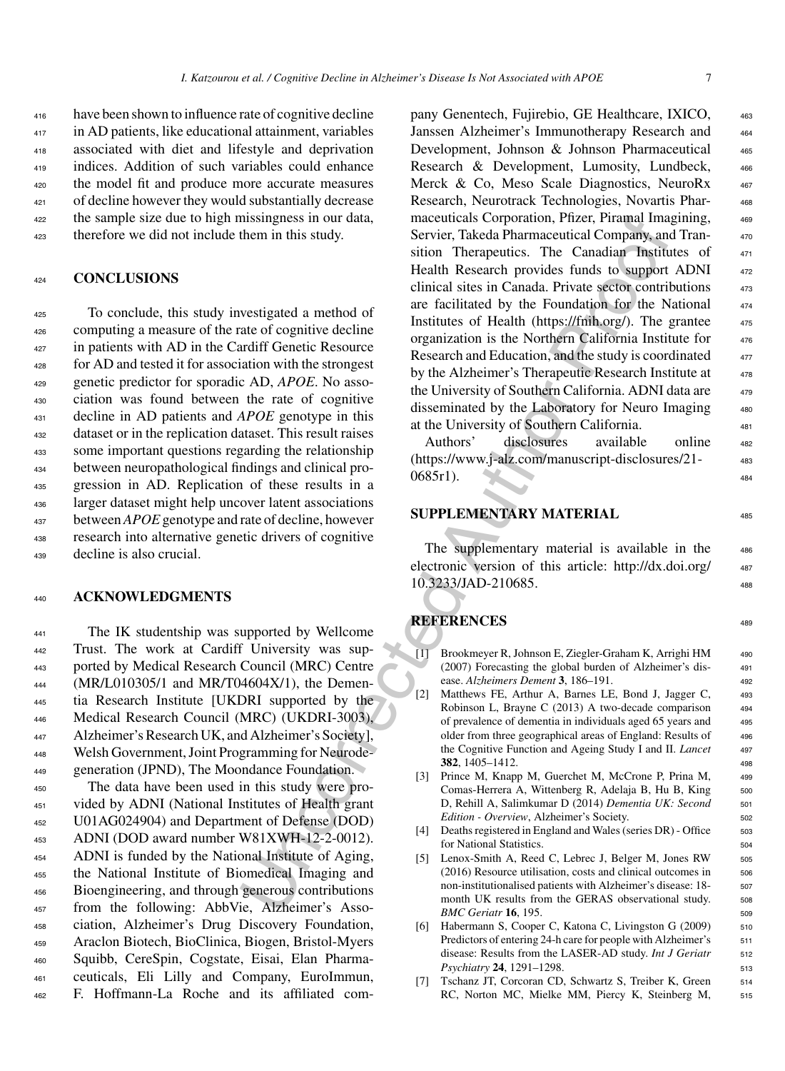have been shown to influence rate of cognitive decline in AD patients, like educational attainment, variables associated with diet and lifestyle and deprivation indices. Addition of such variables could enhance the model fit and produce more accurate measures of decline however they would substantially decrease the sample size due to high missingness in our data, therefore we did not include them in this study.

#### <sup>424</sup> **CONCLUSIONS**

 To conclude, this study investigated a method of computing a measure of the rate of cognitive decline <sup>427</sup> in patients with AD in the Cardiff Genetic Resource for AD and tested it for association with the strongest genetic predictor for sporadic AD, *APOE*. No asso- ciation was found between the rate of cognitive decline in AD patients and *APOE* genotype in this dataset or in the replication dataset. This result raises some important questions regarding the relationship between neuropathological findings and clinical pro- gression in AD. Replication of these results in a larger dataset might help uncover latent associations between*APOE*genotype and rate of decline, however research into alternative genetic drivers of cognitive decline is also crucial.

#### <sup>440</sup> **ACKNOWLEDGMENTS**

 The IK studentship was supported by Wellcome Trust. The work at Cardiff University was sup- ported by Medical Research Council (MRC) Centre (MR/L010305/1 and MR/T04604X/1), the Demen- tia Research Institute [UKDRI supported by the Medical Research Council (MRC) (UKDRI-3003), Alzheimer's Research UK, and Alzheimer's Society], Welsh Government, Joint Programming for Neurode-generation (JPND), The Moondance Foundation.

 The data have been used in this study were pro- vided by ADNI (National Institutes of Health grant U01AG024904) and Department of Defense (DOD) ADNI (DOD award number W81XWH-12-2-0012). ADNI is funded by the National Institute of Aging, the National Institute of Biomedical Imaging and Bioengineering, and through generous contributions from the following: AbbVie, Alzheimer's Asso- ciation, Alzheimer's Drug Discovery Foundation, Araclon Biotech, BioClinica, Biogen, Bristol-Myers Squibb, CereSpin, Cogstate, Eisai, Elan Pharma- ceuticals, Eli Lilly and Company, EuroImmun, F. Hoffmann-La Roche and its affiliated com-

International Imagentia Scoperator, Piramal Imagentia Scope<br>
Health Researct Company an[d](http://dx.doi.org/10.3233/JAD-210685) the Secret Condition (Service, Takeda Pharmacettical Company and<br>
Health Research provides funds the Houndardon function of the Nord pany Genentech, Fujirebio, GE Healthcare, IXICO, <sup>463</sup> Janssen Alzheimer's Immunotherapy Research and 464 Development, Johnson & Johnson Pharmaceutical 465 Research & Development, Lumosity, Lundbeck,  $466$ Merck & Co, Meso Scale Diagnostics, NeuroRx  $467$ Research, Neurotrack Technologies, Novartis Phar-<br>468 maceuticals Corporation, Pfizer, Piramal Imagining,  $469$ Servier, Takeda Pharmaceutical Company, and Transition Therapeutics. The Canadian Institutes of  $471$ Health Research provides funds to support ADNI 472 clinical sites in Canada. Private sector contributions  $473$ are facilitated by the Foundation for the National 474 Institutes of Health (https://fmih.org/). The grantee  $475$ organization is the Northern California Institute for  $476$ Research and Education, and the study is coordinated  $477$ by the Alzheimer's Therapeutic Research Institute at  $478$ the University of Southern California. ADNI data are  $479$ disseminated by the Laboratory for Neuro Imaging 480 at the University of Southern California. <sup>481</sup>

Authors' disclosures available online 482 [\(https://www.j-alz.com/manuscript-disclosures/21-](https://www.j-alz.com/manuscript-disclosures/21-0685r1) <sup>483</sup>  $0685r1$ .

## **SUPPLEMENTARY MATERIAL** <sup>485</sup>

The supplementary material is available in the 486 electronic version of this article: [http://dx.doi.org/](http://dx.doi.org/10.3233/JAD-210685) <sup>487</sup> 10.3233/JAD-210685. <sup>488</sup>

# **REFERENCES** <sup>489</sup>

- [1] Brookmeyer R, Johnson E, Ziegler-Graham K, Arrighi HM 490 (2007) Forecasting the global burden of Alzheimer's dis- <sup>491</sup> ease. *Alzheimers Dement* **3**, 186–191. <sup>492</sup>
- [2] Matthews FE, Arthur A, Barnes LE, Bond J, Jagger C, 493 Robinson L, Brayne C (2013) A two-decade comparison 494 of prevalence of dementia in individuals aged 65 years and <sup>495</sup> older from three geographical areas of England: Results of 496 the Cognitive Function and Ageing Study I and II. *Lancet* <sup>497</sup> **382**, 1405–1412. <sup>498</sup>
- [3] Prince M, Knapp M, Guerchet M, McCrone P, Prina M, 499 Comas-Herrera A, Wittenberg R, Adelaja B, Hu B, King 500 D, Rehill A, Salimkumar D (2014) *Dementia UK: Second* 501 *Edition - Overview*, Alzheimer's Society. 502
- [4] Deaths registered in England and Wales (series DR) Office 503 for National Statistics. 504
- [5] Lenox-Smith A, Reed C, Lebrec J, Belger M, Jones RW 505 (2016) Resource utilisation, costs and clinical outcomes in 506 non-institutionalised patients with Alzheimer's disease: 18- 507 month UK results from the GERAS observational study. 508 *BMC Geriatr* **16**, 195. 509
- [6] Habermann S, Cooper C, Katona C, Livingston G (2009) 510 Predictors of entering 24-h care for people with Alzheimer's 511 disease: Results from the LASER-AD study. *Int J Geriatr* 512 *Psychiatry* **24**, 1291–1298. 513
- [7] Tschanz JT, Corcoran CD, Schwartz S, Treiber K, Green 514 RC, Norton MC, Mielke MM, Piercy K, Steinberg M, 515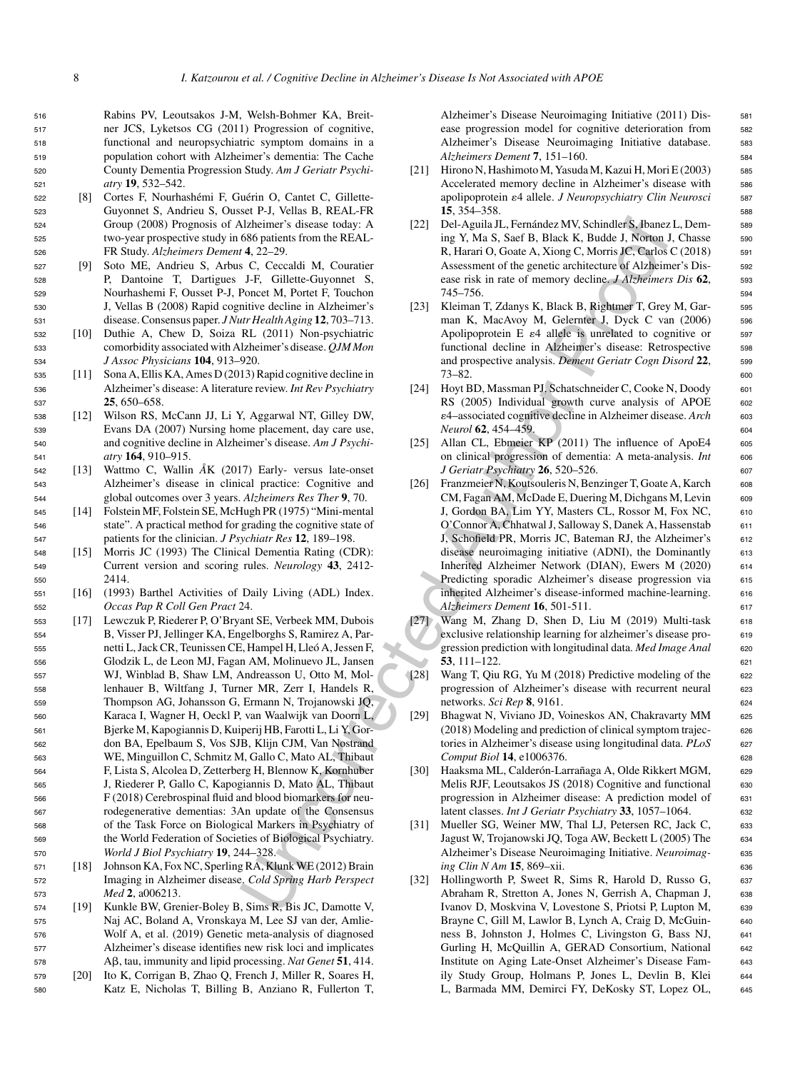Rabins PV, Leoutsakos J-M, Welsh-Bohmer KA, Breit- ner JCS, Lyketsos CG (2011) Progression of cognitive, functional and neuropsychiatric symptom domains in a population cohort with Alzheimer's dementia: The Cache County Dementia Progression Study. *Am J Geriatr Psychi-atry* **19**, 532–542.

- 522 [8] Cortes F, Nourhashémi F, Guérin O, Cantet C, Gillette-<sup>523</sup> Guyonnet S, Andrieu S, Ousset P-J, Vellas B, REAL-FR <sup>524</sup> Group (2008) Prognosis of Alzheimer's disease today: A <sup>525</sup> two-year prospective study in 686 patients from the REAL-<sup>526</sup> FR Study. *Alzheimers Dement* **4**, 22–29.
- <sup>527</sup> [9] Soto ME, Andrieu S, Arbus C, Ceccaldi M, Couratier <sup>528</sup> P, Dantoine T, Dartigues J-F, Gillette-Guyonnet S, <sup>529</sup> Nourhashemi F, Ousset P-J, Poncet M, Portet F, Touchon <sup>530</sup> J, Vellas B (2008) Rapid cognitive decline in Alzheimer's <sup>531</sup> disease. Consensus paper. *J Nutr Health Aging* **12**, 703–713.
- <sup>532</sup> [10] Duthie A, Chew D, Soiza RL (2011) Non-psychiatric <sup>533</sup> comorbidity associated with Alzheimer's disease. *QJM Mon* <sup>534</sup> *J Assoc Physicians* **104**, 913–920.
- <sup>535</sup> [11] Sona A, Ellis KA, Ames D (2013) Rapid cognitive decline in <sup>536</sup> Alzheimer's disease: A literature review. *Int Rev Psychiatry* <sup>537</sup> **25**, 650–658.
- <sup>538</sup> [12] Wilson RS, McCann JJ, Li Y, Aggarwal NT, Gilley DW, <sup>539</sup> Evans DA (2007) Nursing home placement, day care use, <sup>540</sup> and cognitive decline in Alzheimer's disease. *Am J Psychi-*<sup>541</sup> *atry* **164**, 910–915.
- <sup>542</sup> [13] Wattmo C, Wallin *A˚*K (2017) Early- versus late-onset <sup>543</sup> Alzheimer's disease in clinical practice: Cognitive and <sup>544</sup> global outcomes over 3 years. *Alzheimers Res Ther* **9**, 70.
- <sup>545</sup> [14] Folstein MF, Folstein SE, McHugh PR (1975) "Mini-mental <sup>546</sup> state". A practical method for grading the cognitive state of <sup>547</sup> patients for the clinician. *J Psychiatr Res* **12**, 189–198.
- <sup>548</sup> [15] Morris JC (1993) The Clinical Dementia Rating (CDR): <sup>549</sup> Current version and scoring rules. *Neurology* **43**, 2412- <sup>550</sup> 2414.
- <sup>551</sup> [16] (1993) Barthel Activities of Daily Living (ADL) Index. <sup>552</sup> *Occas Pap R Coll Gen Pract* 24.
- <sup>553</sup> [17] Lewczuk P, Riederer P, O'Bryant SE, Verbeek MM, Dubois <sup>554</sup> B, Visser PJ, Jellinger KA, Engelborghs S, Ramirez A, Par-<sup>555</sup> netti L, Jack CR, Teunissen CE, Hampel H, Lleo A, Jessen F, ´ <sup>556</sup> Glodzik L, de Leon MJ, Fagan AM, Molinuevo JL, Jansen <sup>557</sup> WJ, Winblad B, Shaw LM, Andreasson U, Otto M, Mol-<sup>558</sup> lenhauer B, Wiltfang J, Turner MR, Zerr I, Handels R, <sup>559</sup> Thompson AG, Johansson G, Ermann N, Trojanowski JQ, <sup>560</sup> Karaca I, Wagner H, Oeckl P, van Waalwijk van Doorn L, <sup>561</sup> Bjerke M, Kapogiannis D, Kuiperij HB, Farotti L, Li Y, Gor-<sup>562</sup> don BA, Epelbaum S, Vos SJB, Klijn CJM, Van Nostrand <sup>563</sup> WE, Minguillon C, Schmitz M, Gallo C, Mato AL, Thibaut <sup>564</sup> F, Lista S, Alcolea D, Zetterberg H, Blennow K, Kornhuber <sup>565</sup> J, Riederer P, Gallo C, Kapogiannis D, Mato AL, Thibaut <sup>566</sup> F (2018) Cerebrospinal fluid and blood biomarkers for neu-<sup>567</sup> rodegenerative dementias: 3An update of the Consensus <sup>568</sup> of the Task Force on Biological Markers in Psychiatry of <sup>569</sup> the World Federation of Societies of Biological Psychiatry. <sup>570</sup> *World J Biol Psychiatry* **19**, 244–328.
- <sup>571</sup> [18] Johnson KA, Fox NC, Sperling RA, Klunk WE (2012) Brain <sup>572</sup> Imaging in Alzheimer disease. *Cold Spring Harb Perspect* <sup>573</sup> *Med* **2**, a006213.
- <sup>574</sup> [19] Kunkle BW, Grenier-Boley B, Sims R, Bis JC, Damotte V, <sup>575</sup> Naj AC, Boland A, Vronskaya M, Lee SJ van der, Amlie-<sup>576</sup> Wolf A, et al. (2019) Genetic meta-analysis of diagnosed <sup>577</sup> Alzheimer's disease identifies new risk loci and implicates <sup>578</sup> A, tau, immunity and lipid processing. *Nat Genet* **51**, 414.
- <sup>579</sup> [20] Ito K, Corrigan B, Zhao Q, French J, Miller R, Soares H, <sup>580</sup> Katz E, Nicholas T, Billing B, Anziano R, Fullerton T,

Alzheimer's Disease Neuroimaging Initiative (2011) Dis- 581 ease progression model for cognitive deterioration from <sup>582</sup> Alzheimer's Disease Neuroimaging Initiative database. 583 *Alzheimers Dement* **7**, 151–160. <sup>584</sup>

- [21] Hirono N, Hashimoto M, Yasuda M, Kazui H, Mori E (2003) 585 Accelerated memory decline in Alzheimer's disease with 586 apolipoprotein  $\varepsilon$ 4 allele. *J Neuropsychiatry Clin Neurosci* 587 **15**, 354–358. 588
- [22] Del-Aguila JL, Fernández MV, Schindler S, Ibanez L, Dem- 589 ing Y, Ma S, Saef B, Black K, Budde J, Norton J, Chasse 590 R, Harari O, Goate A, Xiong C, Morris JC, Carlos C (2018) 591 Assessment of the genetic architecture of Alzheimer's Dis- 592 ease risk in rate of memory decline. *J Alzheimers Dis* **62**, <sup>593</sup> 745–756. <sup>594</sup>
- [23] Kleiman T, Zdanys K, Black B, Rightmer T, Grey M, Gar- 595 man K, MacAvoy M, Gelernter J, Dyck C van (2006) 596 Apolipoprotein  $E \epsilon 4$  allele is unrelated to cognitive or  $597$ functional decline in Alzheimer's disease: Retrospective 598 and prospective analysis. *Dement Geriatr Cogn Disord* **22**, <sup>599</sup> 73–82. <sup>600</sup>
- [24] Hoyt BD, Massman PJ, Schatschneider C, Cooke N, Doody 601 RS (2005) Individual growth curve analysis of APOE 602 -4–associated cognitive decline in Alzheimer disease. *Arch* <sup>603</sup> *Neurol* **62**, 454–459. 604
- [25] Allan CL, Ebmeier KP (2011) The influence of ApoE4 605 on clinical progression of dementia: A meta-analysis. *Int* 606 *J Geriatr Psychiatry* **26**, 520–526. 607
- Altheriner's dissected My CA (22) Del-Aquilar II. Fermández MV. Schmidtels, Javasce (Autorine) (4.422–22)<br>
1686 parisant Schmidtels, Neart A. Coccadi M. Countier R. Randa D. Gassenment of the genetic activities (Maria C. [26] Franzmeier N, Koutsouleris N, Benzinger T, Goate A, Karch 608 CM, Fagan AM, McDade E, Duering M, Dichgans M, Levin 609 J, Gordon BA, Lim YY, Masters CL, Rossor M, Fox NC, 610 O'Connor A, Chhatwal J, Salloway S, Danek A, Hassenstab <sup>611</sup> J, Schofield PR, Morris JC, Bateman RJ, the Alzheimer's 612 disease neuroimaging initiative (ADNI), the Dominantly 613 Inherited Alzheimer Network (DIAN), Ewers M (2020) <sup>614</sup> Predicting sporadic Alzheimer's disease progression via 615 inherited Alzheimer's disease-informed machine-learning. 616 *Alzheimers Dement* **16**, 501-511. <sup>617</sup>
	- [27] Wang M, Zhang D, Shen D, Liu M (2019) Multi-task 618 exclusive relationship learning for alzheimer's disease progression prediction with longitudinal data. *Med Image Anal* 620 **53**, 111–122. <sup>621</sup>
	- [28] Wang T, Qiu RG, Yu M (2018) Predictive modeling of the <sup>622</sup> progression of Alzheimer's disease with recurrent neural 623 networks. *Sci Rep* **8**, 9161. <sup>624</sup>
	- [29] Bhagwat N, Viviano JD, Voineskos AN, Chakravarty MM 625 (2018) Modeling and prediction of clinical symptom trajec- <sup>626</sup> tories in Alzheimer's disease using longitudinal data. *PLoS* 627 *Comput Biol* **14**, e1006376. <sup>628</sup>
	- [30] Haaksma ML, Calderón-Larrañaga A, Olde Rikkert MGM, e29 Melis RJF, Leoutsakos JS (2018) Cognitive and functional 630 progression in Alzheimer disease: A prediction model of 631 latent classes. *Int J Geriatr Psychiatry* **33**, 1057–1064. <sup>632</sup>
	- [31] Mueller SG, Weiner MW, Thal LJ, Petersen RC, Jack C, 633 Jagust W, Trojanowski JQ, Toga AW, Beckett L (2005) The <sup>634</sup> Alzheimer's Disease Neuroimaging Initiative. *Neuroimag-* <sup>635</sup> *ing Clin N Am* **15**, 869–xii. 636
	- [32] Hollingworth P, Sweet R, Sims R, Harold D, Russo G, 637 Abraham R, Stretton A, Jones N, Gerrish A, Chapman J, 638 Ivanov D, Moskvina V, Lovestone S, Priotsi P, Lupton M, <sup>639</sup> Brayne C, Gill M, Lawlor B, Lynch A, Craig D, McGuin- 640 ness B, Johnston J, Holmes C, Livingston G, Bass NJ, <sup>641</sup> Gurling H, McQuillin A, GERAD Consortium, National 642 Institute on Aging Late-Onset Alzheimer's Disease Fam- <sup>643</sup> ily Study Group, Holmans P, Jones L, Devlin B, Klei <sup>644</sup> L, Barmada MM, Demirci FY, DeKosky ST, Lopez OL, <sup>645</sup>